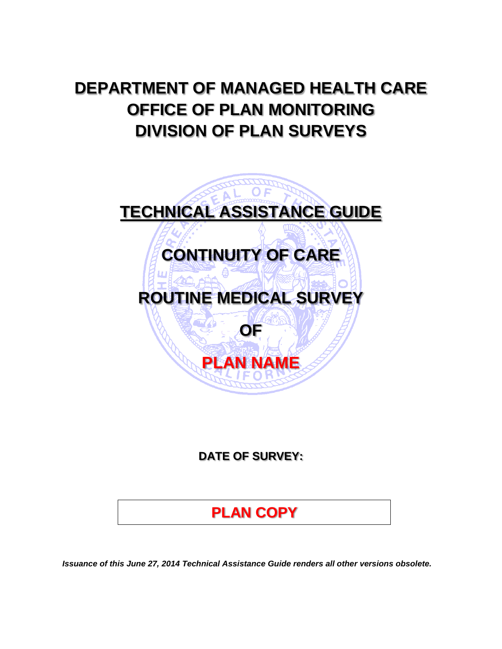# **DEPARTMENT OF MANAGED HEALTH CARE OFFICE OF PLAN MONITORING DIVISION OF PLAN SURVEYS**



**DATE OF SURVEY:** 

# **PLAN COPY**

*Issuance of this June 27, 2014 Technical Assistance Guide renders all other versions obsolete.*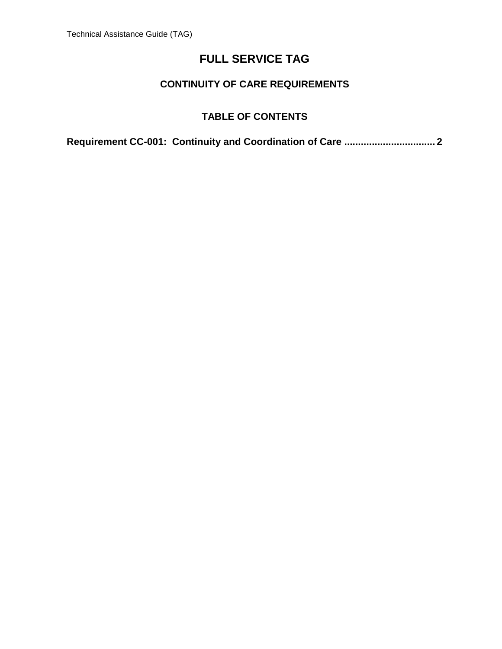#### **CONTINUITY OF CARE REQUIREMENTS**

#### **TABLE OF CONTENTS**

**[Requirement CC-001: Continuity and Coordination of Care ................................. 2](#page-2-0)**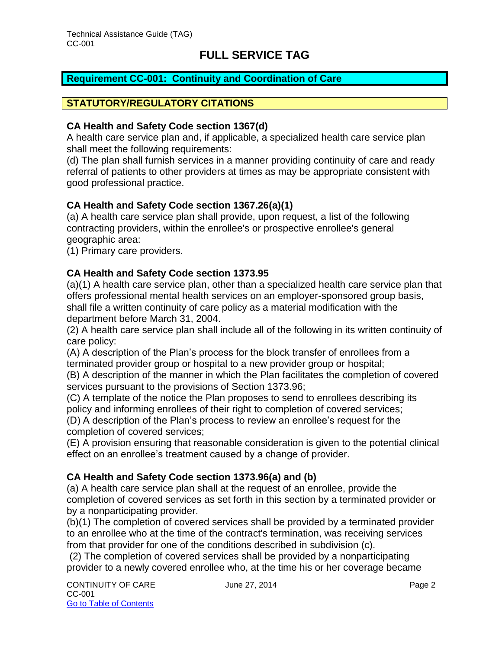#### <span id="page-2-0"></span>**Requirement CC-001: Continuity and Coordination of Care**

#### **STATUTORY/REGULATORY CITATIONS**

#### **CA Health and Safety Code section 1367(d)**

A health care service plan and, if applicable, a specialized health care service plan shall meet the following requirements:

(d) The plan shall furnish services in a manner providing continuity of care and ready referral of patients to other providers at times as may be appropriate consistent with good professional practice.

#### **CA Health and Safety Code section 1367.26(a)(1)**

(a) A health care service plan shall provide, upon request, a list of the following contracting providers, within the enrollee's or prospective enrollee's general geographic area:

(1) Primary care providers.

#### **CA Health and Safety Code section 1373.95**

(a)(1) A health care service plan, other than a specialized health care service plan that offers professional mental health services on an employer-sponsored group basis, shall file a written continuity of care policy as a material modification with the department before March 31, 2004.

(2) A health care service plan shall include all of the following in its written continuity of care policy:

(A) A description of the Plan's process for the block transfer of enrollees from a terminated provider group or hospital to a new provider group or hospital;

(B) A description of the manner in which the Plan facilitates the completion of covered services pursuant to the provisions of Section 1373.96;

(C) A template of the notice the Plan proposes to send to enrollees describing its policy and informing enrollees of their right to completion of covered services;

(D) A description of the Plan's process to review an enrollee's request for the completion of covered services;

(E) A provision ensuring that reasonable consideration is given to the potential clinical effect on an enrollee's treatment caused by a change of provider.

#### **CA Health and Safety Code section 1373.96(a) and (b)**

(a) A health care service plan shall at the request of an enrollee, provide the completion of covered services as set forth in this section by a terminated provider or by a nonparticipating provider.

(b)(1) The completion of covered services shall be provided by a terminated provider to an enrollee who at the time of the contract's termination, was receiving services from that provider for one of the conditions described in subdivision (c).

 (2) The completion of covered services shall be provided by a nonparticipating provider to a newly covered enrollee who, at the time his or her coverage became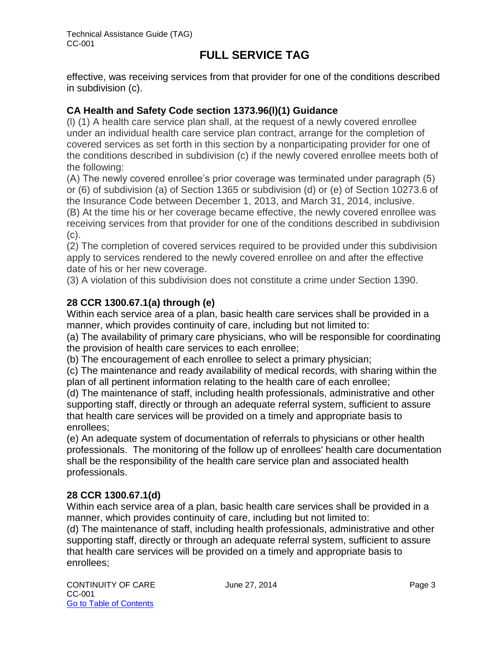effective, was receiving services from that provider for one of the conditions described in subdivision (c).

#### **CA Health and Safety Code section 1373.96(l)(1) Guidance**

(l) (1) A health care service plan shall, at the request of a newly covered enrollee under an individual health care service plan contract, arrange for the completion of covered services as set forth in this section by a nonparticipating provider for one of the conditions described in subdivision (c) if the newly covered enrollee meets both of the following:

(A) The newly covered enrollee's prior coverage was terminated under paragraph (5) or (6) of subdivision (a) of Section 1365 or subdivision (d) or (e) of Section 10273.6 of the Insurance Code between December 1, 2013, and March 31, 2014, inclusive. (B) At the time his or her coverage became effective, the newly covered enrollee was receiving services from that provider for one of the conditions described in subdivision (c).

(2) The completion of covered services required to be provided under this subdivision apply to services rendered to the newly covered enrollee on and after the effective date of his or her new coverage.

(3) A violation of this subdivision does not constitute a crime under Section 1390.

#### **28 CCR 1300.67.1(a) through (e)**

Within each service area of a plan, basic health care services shall be provided in a manner, which provides continuity of care, including but not limited to:

(a) The availability of primary care physicians, who will be responsible for coordinating the provision of health care services to each enrollee;

(b) The encouragement of each enrollee to select a primary physician;

(c) The maintenance and ready availability of medical records, with sharing within the plan of all pertinent information relating to the health care of each enrollee;

(d) The maintenance of staff, including health professionals, administrative and other supporting staff, directly or through an adequate referral system, sufficient to assure that health care services will be provided on a timely and appropriate basis to enrollees;

(e) An adequate system of documentation of referrals to physicians or other health professionals. The monitoring of the follow up of enrollees' health care documentation shall be the responsibility of the health care service plan and associated health professionals.

#### **28 CCR 1300.67.1(d)**

Within each service area of a plan, basic health care services shall be provided in a manner, which provides continuity of care, including but not limited to:

(d) The maintenance of staff, including health professionals, administrative and other supporting staff, directly or through an adequate referral system, sufficient to assure that health care services will be provided on a timely and appropriate basis to enrollees;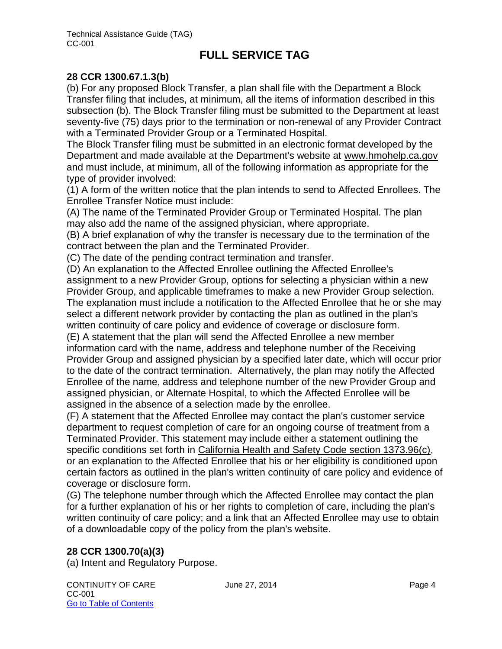#### **28 CCR 1300.67.1.3(b)**

(b) For any proposed Block Transfer, a plan shall file with the Department a Block Transfer filing that includes, at minimum, all the items of information described in this subsection (b). The Block Transfer filing must be submitted to the Department at least seventy-five (75) days prior to the termination or non-renewal of any Provider Contract with a Terminated Provider Group or a Terminated Hospital.

The Block Transfer filing must be submitted in an electronic format developed by the Department and made available at the Department's website at [www.hmohelp.ca.gov](http://www.hmohelp.ca.gov/) and must include, at minimum, all of the following information as appropriate for the type of provider involved:

(1) A form of the written notice that the plan intends to send to Affected Enrollees. The Enrollee Transfer Notice must include:

(A) The name of the Terminated Provider Group or Terminated Hospital. The plan may also add the name of the assigned physician, where appropriate.

(B) A brief explanation of why the transfer is necessary due to the termination of the contract between the plan and the Terminated Provider.

(C) The date of the pending contract termination and transfer.

(D) An explanation to the Affected Enrollee outlining the Affected Enrollee's assignment to a new Provider Group, options for selecting a physician within a new Provider Group, and applicable timeframes to make a new Provider Group selection. The explanation must include a notification to the Affected Enrollee that he or she may select a different network provider by contacting the plan as outlined in the plan's written continuity of care policy and evidence of coverage or disclosure form. (E) A statement that the plan will send the Affected Enrollee a new member information card with the name, address and telephone number of the Receiving Provider Group and assigned physician by a specified later date, which will occur prior

to the date of the contract termination. Alternatively, the plan may notify the Affected Enrollee of the name, address and telephone number of the new Provider Group and assigned physician, or Alternate Hospital, to which the Affected Enrollee will be assigned in the absence of a selection made by the enrollee.

(F) A statement that the Affected Enrollee may contact the plan's customer service department to request completion of care for an ongoing course of treatment from a Terminated Provider. This statement may include either a statement outlining the specific conditions set forth in [California Health and Safety Code section 1373.96\(c\),](http://www.lexis.com/research/buttonTFLink?_m=3543db3e8d7214ec080369e0abb78dfa&_xfercite=%3ccite%20cc%3d%22USA%22%3e%3c%21%5bCDATA%5b28%20CCR%201300.67.1.3%5d%5d%3e%3c%2fcite%3e&_butType=4&_butStat=0&_butNum=1&_butInline=1&_butinfo=CA%20HEALTH%25%20) or an explanation to the Affected Enrollee that his or her eligibility is conditioned upon certain factors as outlined in the plan's written continuity of care policy and evidence of coverage or disclosure form.

(G) The telephone number through which the Affected Enrollee may contact the plan for a further explanation of his or her rights to completion of care, including the plan's written continuity of care policy; and a link that an Affected Enrollee may use to obtain of a downloadable copy of the policy from the plan's website.

#### **28 CCR 1300.70(a)(3)**

(a) Intent and Regulatory Purpose.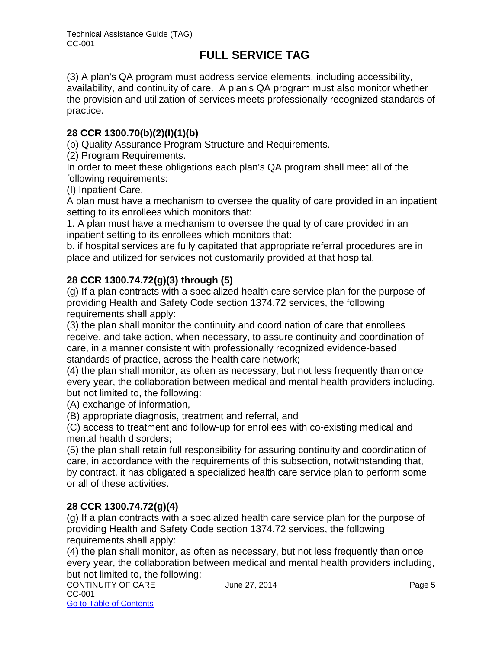(3) A plan's QA program must address service elements, including accessibility, availability, and continuity of care. A plan's QA program must also monitor whether the provision and utilization of services meets professionally recognized standards of practice.

#### **28 CCR 1300.70(b)(2)(I)(1)(b)**

(b) Quality Assurance Program Structure and Requirements.

(2) Program Requirements.

In order to meet these obligations each plan's QA program shall meet all of the following requirements:

(I) Inpatient Care.

A plan must have a mechanism to oversee the quality of care provided in an inpatient setting to its enrollees which monitors that:

1. A plan must have a mechanism to oversee the quality of care provided in an inpatient setting to its enrollees which monitors that:

b. if hospital services are fully capitated that appropriate referral procedures are in place and utilized for services not customarily provided at that hospital.

#### **28 CCR 1300.74.72(g)(3) through (5)**

(g) If a plan contracts with a specialized health care service plan for the purpose of providing Health and Safety Code section 1374.72 services, the following requirements shall apply:

(3) the plan shall monitor the continuity and coordination of care that enrollees receive, and take action, when necessary, to assure continuity and coordination of care, in a manner consistent with professionally recognized evidence-based standards of practice, across the health care network;

(4) the plan shall monitor, as often as necessary, but not less frequently than once every year, the collaboration between medical and mental health providers including, but not limited to, the following:

(A) exchange of information,

(B) appropriate diagnosis, treatment and referral, and

(C) access to treatment and follow-up for enrollees with co-existing medical and mental health disorders;

(5) the plan shall retain full responsibility for assuring continuity and coordination of care, in accordance with the requirements of this subsection, notwithstanding that, by contract, it has obligated a specialized health care service plan to perform some or all of these activities.

#### **28 CCR 1300.74.72(g)(4)**

(g) If a plan contracts with a specialized health care service plan for the purpose of providing Health and Safety Code section 1374.72 services, the following requirements shall apply:

(4) the plan shall monitor, as often as necessary, but not less frequently than once every year, the collaboration between medical and mental health providers including, but not limited to, the following: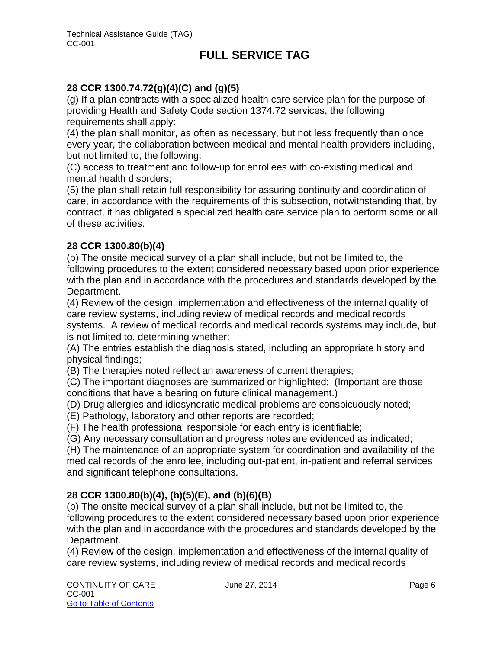#### **28 CCR 1300.74.72(g)(4)(C) and (g)(5)**

(g) If a plan contracts with a specialized health care service plan for the purpose of providing Health and Safety Code section 1374.72 services, the following requirements shall apply:

(4) the plan shall monitor, as often as necessary, but not less frequently than once every year, the collaboration between medical and mental health providers including, but not limited to, the following:

(C) access to treatment and follow-up for enrollees with co-existing medical and mental health disorders;

(5) the plan shall retain full responsibility for assuring continuity and coordination of care, in accordance with the requirements of this subsection, notwithstanding that, by contract, it has obligated a specialized health care service plan to perform some or all of these activities.

#### **28 CCR 1300.80(b)(4)**

(b) The onsite medical survey of a plan shall include, but not be limited to, the following procedures to the extent considered necessary based upon prior experience with the plan and in accordance with the procedures and standards developed by the Department.

(4) Review of the design, implementation and effectiveness of the internal quality of care review systems, including review of medical records and medical records systems. A review of medical records and medical records systems may include, but is not limited to, determining whether:

(A) The entries establish the diagnosis stated, including an appropriate history and physical findings;

(B) The therapies noted reflect an awareness of current therapies;

(C) The important diagnoses are summarized or highlighted; (Important are those conditions that have a bearing on future clinical management.)

- (D) Drug allergies and idiosyncratic medical problems are conspicuously noted;
- (E) Pathology, laboratory and other reports are recorded;

(F) The health professional responsible for each entry is identifiable;

(G) Any necessary consultation and progress notes are evidenced as indicated;

(H) The maintenance of an appropriate system for coordination and availability of the medical records of the enrollee, including out-patient, in-patient and referral services and significant telephone consultations.

#### **28 CCR 1300.80(b)(4), (b)(5)(E), and (b)(6)(B)**

(b) The onsite medical survey of a plan shall include, but not be limited to, the following procedures to the extent considered necessary based upon prior experience with the plan and in accordance with the procedures and standards developed by the Department.

(4) Review of the design, implementation and effectiveness of the internal quality of care review systems, including review of medical records and medical records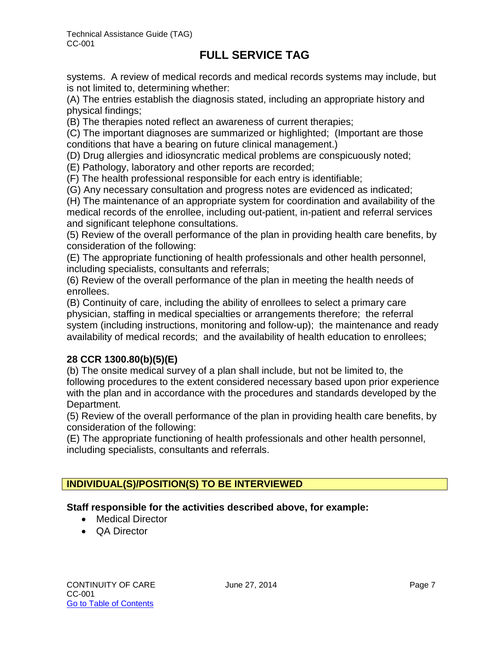systems. A review of medical records and medical records systems may include, but is not limited to, determining whether:

(A) The entries establish the diagnosis stated, including an appropriate history and physical findings;

(B) The therapies noted reflect an awareness of current therapies;

(C) The important diagnoses are summarized or highlighted; (Important are those conditions that have a bearing on future clinical management.)

(D) Drug allergies and idiosyncratic medical problems are conspicuously noted;

(E) Pathology, laboratory and other reports are recorded;

(F) The health professional responsible for each entry is identifiable;

(G) Any necessary consultation and progress notes are evidenced as indicated;

(H) The maintenance of an appropriate system for coordination and availability of the medical records of the enrollee, including out-patient, in-patient and referral services and significant telephone consultations.

(5) Review of the overall performance of the plan in providing health care benefits, by consideration of the following:

(E) The appropriate functioning of health professionals and other health personnel, including specialists, consultants and referrals;

(6) Review of the overall performance of the plan in meeting the health needs of enrollees.

(B) Continuity of care, including the ability of enrollees to select a primary care physician, staffing in medical specialties or arrangements therefore; the referral system (including instructions, monitoring and follow-up); the maintenance and ready availability of medical records; and the availability of health education to enrollees;

#### **28 CCR 1300.80(b)(5)(E)**

(b) The onsite medical survey of a plan shall include, but not be limited to, the following procedures to the extent considered necessary based upon prior experience with the plan and in accordance with the procedures and standards developed by the Department.

(5) Review of the overall performance of the plan in providing health care benefits, by consideration of the following:

(E) The appropriate functioning of health professionals and other health personnel, including specialists, consultants and referrals.

#### **INDIVIDUAL(S)/POSITION(S) TO BE INTERVIEWED**

#### **Staff responsible for the activities described above, for example:**

- Medical Director
- QA Director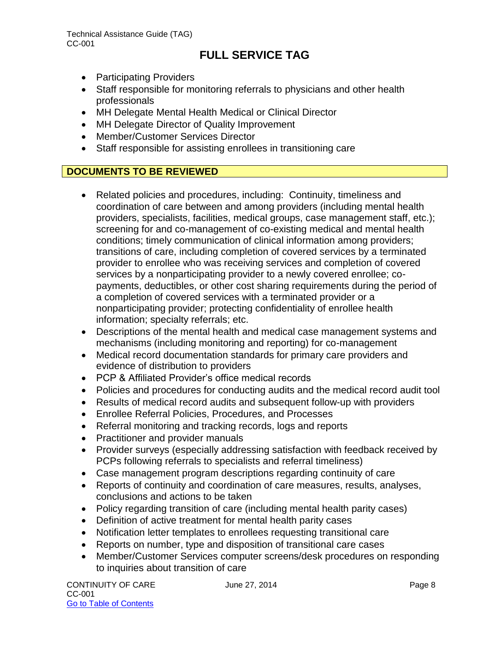- Participating Providers
- Staff responsible for monitoring referrals to physicians and other health professionals
- MH Delegate Mental Health Medical or Clinical Director
- MH Delegate Director of Quality Improvement
- Member/Customer Services Director
- Staff responsible for assisting enrollees in transitioning care

#### **DOCUMENTS TO BE REVIEWED**

- Related policies and procedures, including: Continuity, timeliness and coordination of care between and among providers (including mental health providers, specialists, facilities, medical groups, case management staff, etc.); screening for and co-management of co-existing medical and mental health conditions; timely communication of clinical information among providers; transitions of care, including completion of covered services by a terminated provider to enrollee who was receiving services and completion of covered services by a nonparticipating provider to a newly covered enrollee; copayments, deductibles, or other cost sharing requirements during the period of a completion of covered services with a terminated provider or a nonparticipating provider; protecting confidentiality of enrollee health information; specialty referrals; etc.
- Descriptions of the mental health and medical case management systems and mechanisms (including monitoring and reporting) for co-management
- Medical record documentation standards for primary care providers and evidence of distribution to providers
- PCP & Affiliated Provider's office medical records
- Policies and procedures for conducting audits and the medical record audit tool
- Results of medical record audits and subsequent follow-up with providers
- Enrollee Referral Policies, Procedures, and Processes
- Referral monitoring and tracking records, logs and reports
- Practitioner and provider manuals
- Provider surveys (especially addressing satisfaction with feedback received by PCPs following referrals to specialists and referral timeliness)
- Case management program descriptions regarding continuity of care
- Reports of continuity and coordination of care measures, results, analyses, conclusions and actions to be taken
- Policy regarding transition of care (including mental health parity cases)
- Definition of active treatment for mental health parity cases
- Notification letter templates to enrollees requesting transitional care
- Reports on number, type and disposition of transitional care cases
- Member/Customer Services computer screens/desk procedures on responding to inquiries about transition of care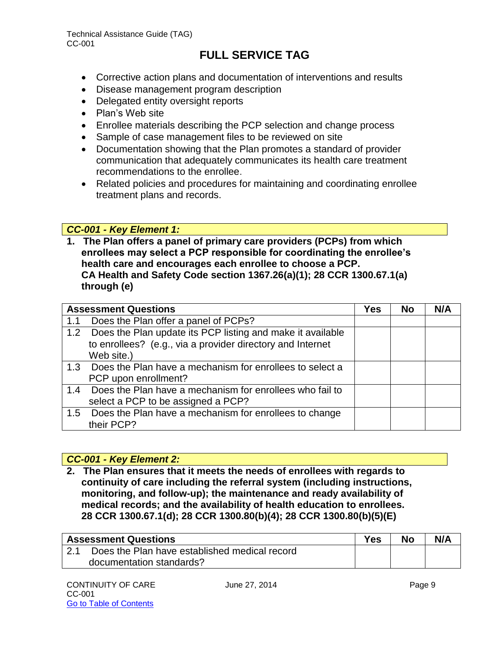- Corrective action plans and documentation of interventions and results
- Disease management program description
- Delegated entity oversight reports
- Plan's Web site
- Enrollee materials describing the PCP selection and change process
- Sample of case management files to be reviewed on site
- Documentation showing that the Plan promotes a standard of provider communication that adequately communicates its health care treatment recommendations to the enrollee.
- Related policies and procedures for maintaining and coordinating enrollee treatment plans and records.

#### *CC-001 - Key Element 1:*

**1. The Plan offers a panel of primary care providers (PCPs) from which enrollees may select a PCP responsible for coordinating the enrollee's health care and encourages each enrollee to choose a PCP. CA Health and Safety Code section 1367.26(a)(1); 28 CCR 1300.67.1(a) through (e)** 

|     | <b>Assessment Questions</b>                                    | Yes | No | N/A |
|-----|----------------------------------------------------------------|-----|----|-----|
| 1.1 | Does the Plan offer a panel of PCPs?                           |     |    |     |
|     | 1.2 Does the Plan update its PCP listing and make it available |     |    |     |
|     | to enrollees? (e.g., via a provider directory and Internet     |     |    |     |
|     | Web site.)                                                     |     |    |     |
|     | 1.3 Does the Plan have a mechanism for enrollees to select a   |     |    |     |
|     | PCP upon enrollment?                                           |     |    |     |
| 1.4 | Does the Plan have a mechanism for enrollees who fail to       |     |    |     |
|     | select a PCP to be assigned a PCP?                             |     |    |     |
|     | 1.5 Does the Plan have a mechanism for enrollees to change     |     |    |     |
|     | their PCP?                                                     |     |    |     |

#### *CC-001 - Key Element 2:*

**2. The Plan ensures that it meets the needs of enrollees with regards to continuity of care including the referral system (including instructions, monitoring, and follow-up); the maintenance and ready availability of medical records; and the availability of health education to enrollees. 28 CCR 1300.67.1(d); 28 CCR 1300.80(b)(4); 28 CCR 1300.80(b)(5)(E)** 

|      | <b>Assessment Questions</b>                   | Yes | No | N/A |
|------|-----------------------------------------------|-----|----|-----|
| 12.1 | Does the Plan have established medical record |     |    |     |
|      | documentation standards?                      |     |    |     |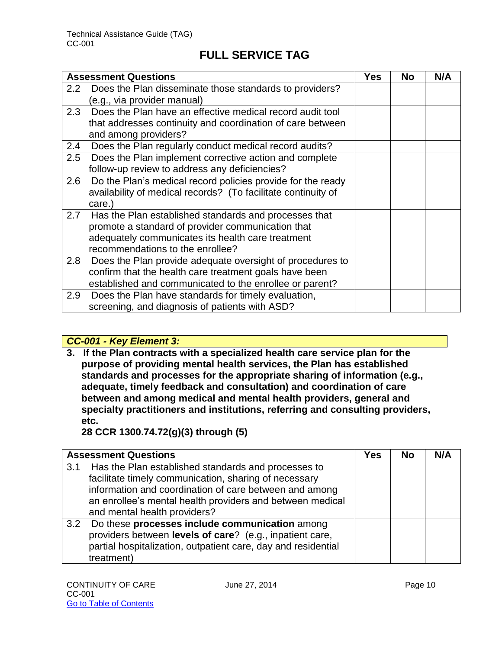|                  | <b>Assessment Questions</b>                                   | Yes | <b>No</b> | N/A |
|------------------|---------------------------------------------------------------|-----|-----------|-----|
| 2.2 <sub>2</sub> | Does the Plan disseminate those standards to providers?       |     |           |     |
|                  | (e.g., via provider manual)                                   |     |           |     |
| 2.3              | Does the Plan have an effective medical record audit tool     |     |           |     |
|                  | that addresses continuity and coordination of care between    |     |           |     |
|                  | and among providers?                                          |     |           |     |
| 2.4              | Does the Plan regularly conduct medical record audits?        |     |           |     |
| 2.5              | Does the Plan implement corrective action and complete        |     |           |     |
|                  | follow-up review to address any deficiencies?                 |     |           |     |
| 2.6              | Do the Plan's medical record policies provide for the ready   |     |           |     |
|                  | availability of medical records? (To facilitate continuity of |     |           |     |
|                  | care.)                                                        |     |           |     |
|                  | 2.7 Has the Plan established standards and processes that     |     |           |     |
|                  | promote a standard of provider communication that             |     |           |     |
|                  | adequately communicates its health care treatment             |     |           |     |
|                  | recommendations to the enrollee?                              |     |           |     |
| 2.8              | Does the Plan provide adequate oversight of procedures to     |     |           |     |
|                  | confirm that the health care treatment goals have been        |     |           |     |
|                  | established and communicated to the enrollee or parent?       |     |           |     |
| 2.9              | Does the Plan have standards for timely evaluation,           |     |           |     |
|                  | screening, and diagnosis of patients with ASD?                |     |           |     |

#### *CC-001 - Key Element 3:*

**3. If the Plan contracts with a specialized health care service plan for the purpose of providing mental health services, the Plan has established standards and processes for the appropriate sharing of information (e.g., adequate, timely feedback and consultation) and coordination of care between and among medical and mental health providers, general and specialty practitioners and institutions, referring and consulting providers, etc.** 

**28 CCR 1300.74.72(g)(3) through (5)**

|     | <b>Assessment Questions</b>                                   | Yes | No | N/A |
|-----|---------------------------------------------------------------|-----|----|-----|
| 3.1 | Has the Plan established standards and processes to           |     |    |     |
|     | facilitate timely communication, sharing of necessary         |     |    |     |
|     | information and coordination of care between and among        |     |    |     |
|     | an enrollee's mental health providers and between medical     |     |    |     |
|     | and mental health providers?                                  |     |    |     |
| 3.2 | Do these processes include communication among                |     |    |     |
|     | providers between levels of care? (e.g., inpatient care,      |     |    |     |
|     | partial hospitalization, outpatient care, day and residential |     |    |     |
|     | treatment)                                                    |     |    |     |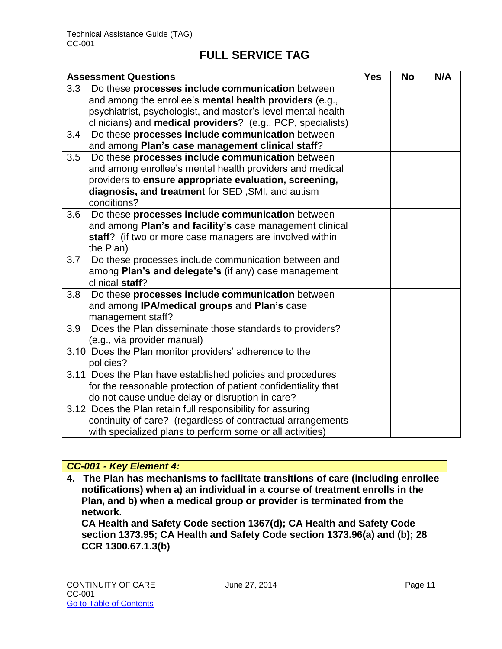| <b>Assessment Questions</b>                                         | <b>Yes</b> | <b>No</b> | N/A |
|---------------------------------------------------------------------|------------|-----------|-----|
| Do these processes include communication between<br>3.3             |            |           |     |
| and among the enrollee's mental health providers (e.g.,             |            |           |     |
| psychiatrist, psychologist, and master's-level mental health        |            |           |     |
| clinicians) and <b>medical providers</b> ? (e.g., PCP, specialists) |            |           |     |
| Do these processes include communication between<br>3.4             |            |           |     |
| and among Plan's case management clinical staff?                    |            |           |     |
| Do these processes include communication between<br>3.5             |            |           |     |
| and among enrollee's mental health providers and medical            |            |           |     |
| providers to ensure appropriate evaluation, screening,              |            |           |     |
| diagnosis, and treatment for SED, SMI, and autism                   |            |           |     |
| conditions?                                                         |            |           |     |
| Do these processes include communication between<br>3.6             |            |           |     |
| and among Plan's and facility's case management clinical            |            |           |     |
| staff? (if two or more case managers are involved within            |            |           |     |
| the Plan)                                                           |            |           |     |
| 3.7<br>Do these processes include communication between and         |            |           |     |
| among Plan's and delegate's (if any) case management                |            |           |     |
| clinical staff?                                                     |            |           |     |
| Do these processes include communication between<br>3.8             |            |           |     |
| and among IPA/medical groups and Plan's case                        |            |           |     |
| management staff?                                                   |            |           |     |
| 3.9<br>Does the Plan disseminate those standards to providers?      |            |           |     |
| (e.g., via provider manual)                                         |            |           |     |
| 3.10 Does the Plan monitor providers' adherence to the              |            |           |     |
| policies?                                                           |            |           |     |
| 3.11 Does the Plan have established policies and procedures         |            |           |     |
| for the reasonable protection of patient confidentiality that       |            |           |     |
| do not cause undue delay or disruption in care?                     |            |           |     |
| 3.12 Does the Plan retain full responsibility for assuring          |            |           |     |
| continuity of care? (regardless of contractual arrangements         |            |           |     |
| with specialized plans to perform some or all activities)           |            |           |     |

#### *CC-001 - Key Element 4:*

**4. The Plan has mechanisms to facilitate transitions of care (including enrollee notifications) when a) an individual in a course of treatment enrolls in the Plan, and b) when a medical group or provider is terminated from the network.** 

**CA Health and Safety Code section 1367(d); CA Health and Safety Code section 1373.95; CA Health and Safety Code section 1373.96(a) and (b); 28 CCR 1300.67.1.3(b)**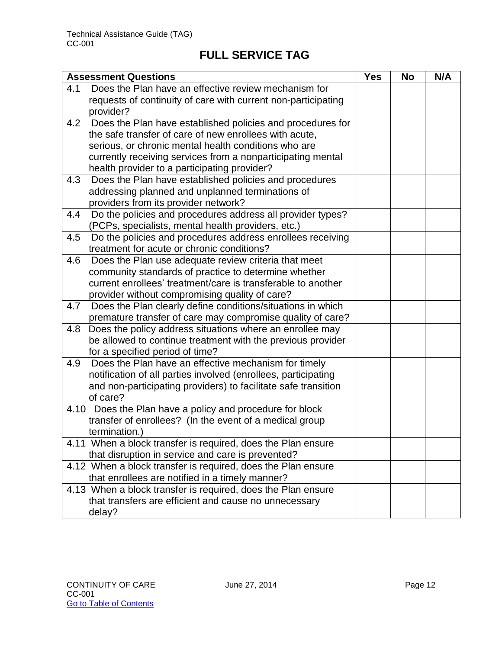|     | <b>Assessment Questions</b>                                    | <b>Yes</b> | <b>No</b> | N/A |
|-----|----------------------------------------------------------------|------------|-----------|-----|
| 4.1 | Does the Plan have an effective review mechanism for           |            |           |     |
|     | requests of continuity of care with current non-participating  |            |           |     |
|     | provider?                                                      |            |           |     |
| 4.2 | Does the Plan have established policies and procedures for     |            |           |     |
|     | the safe transfer of care of new enrollees with acute,         |            |           |     |
|     | serious, or chronic mental health conditions who are           |            |           |     |
|     | currently receiving services from a nonparticipating mental    |            |           |     |
|     | health provider to a participating provider?                   |            |           |     |
| 4.3 | Does the Plan have established policies and procedures         |            |           |     |
|     | addressing planned and unplanned terminations of               |            |           |     |
|     | providers from its provider network?                           |            |           |     |
| 4.4 | Do the policies and procedures address all provider types?     |            |           |     |
|     | (PCPs, specialists, mental health providers, etc.)             |            |           |     |
| 4.5 | Do the policies and procedures address enrollees receiving     |            |           |     |
|     | treatment for acute or chronic conditions?                     |            |           |     |
| 4.6 | Does the Plan use adequate review criteria that meet           |            |           |     |
|     | community standards of practice to determine whether           |            |           |     |
|     | current enrollees' treatment/care is transferable to another   |            |           |     |
|     | provider without compromising quality of care?                 |            |           |     |
| 4.7 | Does the Plan clearly define conditions/situations in which    |            |           |     |
|     | premature transfer of care may compromise quality of care?     |            |           |     |
| 4.8 | Does the policy address situations where an enrollee may       |            |           |     |
|     | be allowed to continue treatment with the previous provider    |            |           |     |
|     | for a specified period of time?                                |            |           |     |
| 4.9 | Does the Plan have an effective mechanism for timely           |            |           |     |
|     | notification of all parties involved (enrollees, participating |            |           |     |
|     | and non-participating providers) to facilitate safe transition |            |           |     |
|     | of care?                                                       |            |           |     |
|     | 4.10 Does the Plan have a policy and procedure for block       |            |           |     |
|     | transfer of enrollees? (In the event of a medical group        |            |           |     |
|     | termination.)                                                  |            |           |     |
|     | 4.11 When a block transfer is required, does the Plan ensure   |            |           |     |
|     | that disruption in service and care is prevented?              |            |           |     |
|     | 4.12 When a block transfer is required, does the Plan ensure   |            |           |     |
|     | that enrollees are notified in a timely manner?                |            |           |     |
|     | 4.13 When a block transfer is required, does the Plan ensure   |            |           |     |
|     | that transfers are efficient and cause no unnecessary          |            |           |     |
|     | delay?                                                         |            |           |     |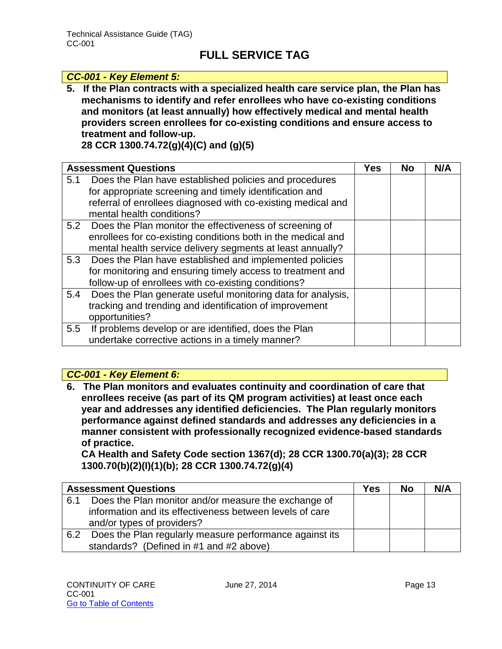#### *CC-001 - Key Element 5:*

**5. If the Plan contracts with a specialized health care service plan, the Plan has mechanisms to identify and refer enrollees who have co-existing conditions and monitors (at least annually) how effectively medical and mental health providers screen enrollees for co-existing conditions and ensure access to treatment and follow-up.** 

**28 CCR 1300.74.72(g)(4)(C) and (g)(5)**

|     | <b>Assessment Questions</b>                                  | <b>Yes</b> | <b>No</b> | N/A |
|-----|--------------------------------------------------------------|------------|-----------|-----|
| 5.1 | Does the Plan have established policies and procedures       |            |           |     |
|     | for appropriate screening and timely identification and      |            |           |     |
|     | referral of enrollees diagnosed with co-existing medical and |            |           |     |
|     | mental health conditions?                                    |            |           |     |
|     | 5.2 Does the Plan monitor the effectiveness of screening of  |            |           |     |
|     | enrollees for co-existing conditions both in the medical and |            |           |     |
|     | mental health service delivery segments at least annually?   |            |           |     |
|     | 5.3 Does the Plan have established and implemented policies  |            |           |     |
|     | for monitoring and ensuring timely access to treatment and   |            |           |     |
|     | follow-up of enrollees with co-existing conditions?          |            |           |     |
| 5.4 | Does the Plan generate useful monitoring data for analysis,  |            |           |     |
|     | tracking and trending and identification of improvement      |            |           |     |
|     | opportunities?                                               |            |           |     |
| 5.5 | If problems develop or are identified, does the Plan         |            |           |     |
|     | undertake corrective actions in a timely manner?             |            |           |     |

#### *CC-001 - Key Element 6:*

**6. The Plan monitors and evaluates continuity and coordination of care that enrollees receive (as part of its QM program activities) at least once each year and addresses any identified deficiencies. The Plan regularly monitors performance against defined standards and addresses any deficiencies in a manner consistent with professionally recognized evidence-based standards of practice.** 

**CA Health and Safety Code section 1367(d); 28 CCR 1300.70(a)(3); 28 CCR 1300.70(b)(2)(I)(1)(b); 28 CCR 1300.74.72(g)(4)**

|     | <b>Assessment Questions</b>                              | Yes | No | N/A |
|-----|----------------------------------------------------------|-----|----|-----|
| 6.1 | Does the Plan monitor and/or measure the exchange of     |     |    |     |
|     | information and its effectiveness between levels of care |     |    |     |
|     | and/or types of providers?                               |     |    |     |
| 6.2 | Does the Plan regularly measure performance against its  |     |    |     |
|     | standards? (Defined in #1 and #2 above)                  |     |    |     |